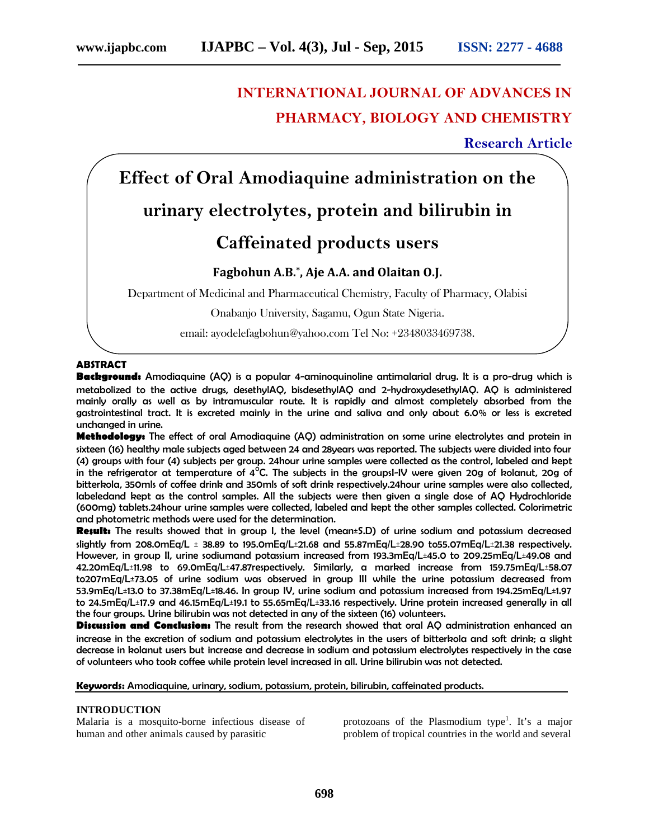# **INTERNATIONAL JOURNAL OF ADVANCES IN PHARMACY, BIOLOGY AND CHEMISTRY**

**Research Article**

# **Effect of Oral Amodiaquine administration on the**

# **urinary electrolytes, protein and bilirubin in**

# **Caffeinated products users**

## **Fagbohun A.B.\* , Aje A.A. and Olaitan O.J.**

Department of Medicinal and Pharmaceutical Chemistry, Faculty of Pharmacy, Olabisi

Onabanjo University, Sagamu, Ogun State Nigeria.

email: ayodelefagbohun@yahoo.com Tel No: +2348033469738.

## **ABSTRACT**

**Background:** Amodiaquine (AQ) is a popular 4-aminoquinoline antimalarial drug. It is a pro-drug which is metabolized to the active drugs, desethylAQ, bisdesethylAQ and 2-hydroxydesethylAQ. AQ is administered mainly orally as well as by intramuscular route. It is rapidly and almost completely absorbed from the gastrointestinal tract. It is excreted mainly in the urine and saliva and only about 6.0% or less is excreted unchanged in urine.

**Methodology:** The effect of oral Amodiaquine (AQ) administration on some urine electrolytes and protein in sixteen (16) healthy male subjects aged between 24 and 28years was reported. The subjects were divided into four (4) groups with four (4) subjects per group. 24hour urine samples were collected as the control, labeled and kept in the refrigerator at temperature of  $4^{\circ}$ C. The subjects in the groupsI-IV were given 20g of kolanut, 20g of bitterkola, 350mls of coffee drink and 350mls of soft drink respectively.24hour urine samples were also collected, labeledand kept as the control samples. All the subjects were then given a single dose of AQ Hydrochloride (600mg) tablets.24hour urine samples were collected, labeled and kept the other samples collected. Colorimetric and photometric methods were used for the determination.

**Result:** The results showed that in group I, the level (mean±S.D) of urine sodium and potassium decreased slightly from 208.0mEq/L ± 38.89 to 195.0mEq/L±21.68 and 55.87mEq/L±28.90 to55.07mEq/L±21.38 respectively. However, in group II, urine sodiumand potassium increased from 193.3mEq/L±45.0 to 209.25mEq/L±49.08 and 42.20mEq/L±11.98 to 69.0mEq/L±47.87respectively. Similarly, a marked increase from 159.75mEq/L±58.07 to207mEq/L±73.05 of urine sodium was observed in group III while the urine potassium decreased from 53.9mEq/L±13.0 to 37.38mEq/L±18.46. In group IV, urine sodium and potassium increased from 194.25mEq/L±1.97 to 24.5mEq/L±17.9 and 46.15mEq/L±19.1 to 55.65mEq/L±33.16 respectively. Urine protein increased generally in all the four groups. Urine bilirubin was not detected in any of the sixteen (16) volunteers.

**Discussion and Conclusion:** The result from the research showed that oral AQ administration enhanced an increase in the excretion of sodium and potassium electrolytes in the users of bitterkola and soft drink; a slight decrease in kolanut users but increase and decrease in sodium and potassium electrolytes respectively in the case of volunteers who took coffee while protein level increased in all. Urine bilirubin was not detected.

**Keywords:** Amodiaquine, urinary, sodium, potassium, protein, bilirubin, caffeinated products.

### **INTRODUCTION**

Malaria is a mosquito-borne infectious disease of human and other animals caused by parasitic

protozoans of the Plasmodium type<sup>1</sup>. It's a major problem of tropical countries in the world and several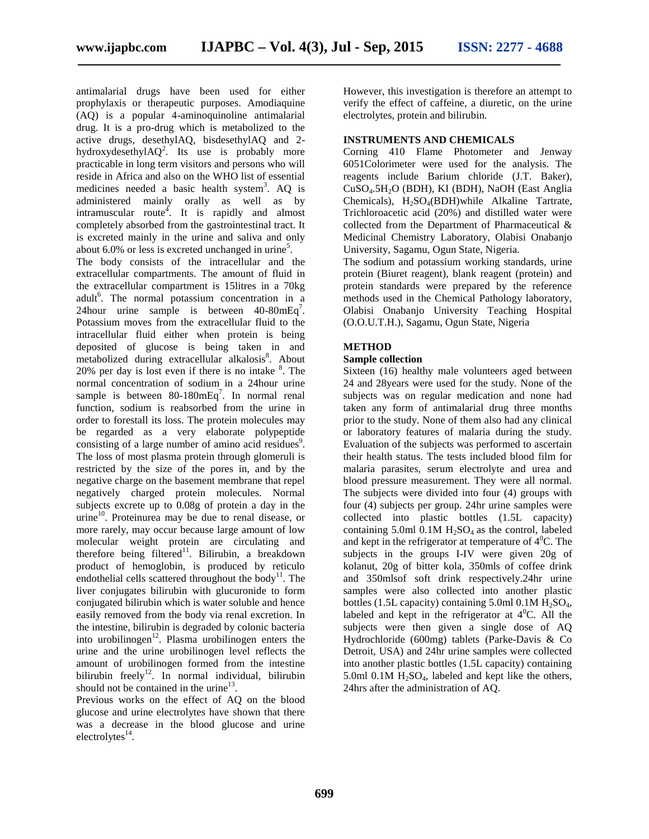antimalarial drugs have been used for either prophylaxis or therapeutic purposes. Amodiaquine (AQ) is a popular 4-aminoquinoline antimalarial drug. It is a pro-drug which is metabolized to the active drugs, desethylAQ, bisdesethylAQ and 2 hydroxydesethyl $AQ^2$ . Its use is probably more practicable in long term visitors and persons who will reside in Africa and also on the WHO list of essential medicines needed a basic health system<sup>3</sup>. AQ is administered mainly orally as well as by intramuscular route<sup>4</sup>. It is rapidly and almost completely absorbed from the gastrointestinal tract. It is excreted mainly in the urine and saliva and only about 6.0% or less is excreted unchanged in urine<sup>5</sup>.

The body consists of the intracellular and the extracellular compartments. The amount of fluid in the extracellular compartment is 15litres in a 70kg adult<sup>6</sup>. The normal potassium concentration in a 24 hour urine sample is between  $40-80$  m Eq<sup>7</sup>. Potassium moves from the extracellular fluid to the intracellular fluid either when protein is being deposited of glucose is being taken in and metabolized during extracellular alkalosis<sup>8</sup>. About 20% per day is lost even if there is no intake  $8$ . The normal concentration of sodium in a 24hour urine sample is between  $80-180$  mEq<sup>7</sup>. In normal renal function, sodium is reabsorbed from the urine in order to forestall its loss. The protein molecules may be regarded as a very elaborate polypeptide consisting of a large number of amino acid residues<sup>9</sup>. The loss of most plasma protein through glomeruli is restricted by the size of the pores in, and by the negative charge on the basement membrane that repel negatively charged protein molecules. Normal subjects excrete up to 0.08g of protein a day in the urine<sup>10</sup>. Proteinurea may be due to renal disease, or more rarely, may occur because large amount of low molecular weight protein are circulating and therefore being filtered<sup>11</sup>. Bilirubin, a breakdown product of hemoglobin, is produced by reticulo endothelial cells scattered throughout the body $^{11}$ . The liver conjugates bilirubin with glucuronide to form conjugated bilirubin which is water soluble and hence easily removed from the body via renal excretion. In the intestine, bilirubin is degraded by colonic bacteria into urobilinogen<sup>12</sup>. Plasma urobilinogen enters the urine and the urine urobilinogen level reflects the amount of urobilinogen formed from the intestine bilirubin freely<sup>12</sup>. In normal individual, bilirubin should not be contained in the urine<sup>13</sup>.

Previous works on the effect of AQ on the blood glucose and urine electrolytes have shown that there was a decrease in the blood glucose and urine  $electrolytes<sup>14</sup>$ .

However, this investigation is therefore an attempt to verify the effect of caffeine, a diuretic, on the urine electrolytes, protein and bilirubin.

### **INSTRUMENTS AND CHEMICALS**

Corning 410 Flame Photometer and Jenway 6051Colorimeter were used for the analysis. The reagents include Barium chloride (J.T. Baker), CuSO4.5H2O (BDH), KI (BDH), NaOH (East Anglia Chemicals),  $H_2SO_4(BDH)$  while Alkaline Tartrate, Trichloroacetic acid (20%) and distilled water were collected from the Department of Pharmaceutical & Medicinal Chemistry Laboratory, Olabisi Onabanjo University, Sagamu, Ogun State, Nigeria.

The sodium and potassium working standards, urine protein (Biuret reagent), blank reagent (protein) and protein standards were prepared by the reference methods used in the Chemical Pathology laboratory, Olabisi Onabanjo University Teaching Hospital (O.O.U.T.H.), Sagamu, Ogun State, Nigeria

#### **METHOD**

#### **Sample collection**

Sixteen (16) healthy male volunteers aged between 24 and 28years were used for the study. None of the subjects was on regular medication and none had taken any form of antimalarial drug three months prior to the study. None of them also had any clinical or laboratory features of malaria during the study. Evaluation of the subjects was performed to ascertain their health status. The tests included blood film for malaria parasites, serum electrolyte and urea and blood pressure measurement. They were all normal. The subjects were divided into four (4) groups with four (4) subjects per group. 24hr urine samples were collected into plastic bottles (1.5L capacity) containing  $5.0$ ml  $0.1M$   $H<sub>2</sub>SO<sub>4</sub>$  as the control, labeled and kept in the refrigerator at temperature of  $4^{\circ}$ C. The subjects in the groups I-IV were given 20g of kolanut, 20g of bitter kola, 350mls of coffee drink and 350mlsof soft drink respectively.24hr urine samples were also collected into another plastic bottles (1.5L capacity) containing  $5.0$ ml  $0.1M$   $H<sub>2</sub>SO<sub>4</sub>$ , labeled and kept in the refrigerator at  $4^{\circ}$ C. All the subjects were then given a single dose of AQ Hydrochloride (600mg) tablets (Parke-Davis & Co Detroit, USA) and 24hr urine samples were collected into another plastic bottles (1.5L capacity) containing 5.0ml  $0.1M$   $H<sub>2</sub>SO<sub>4</sub>$ , labeled and kept like the others, 24hrs after the administration of AQ.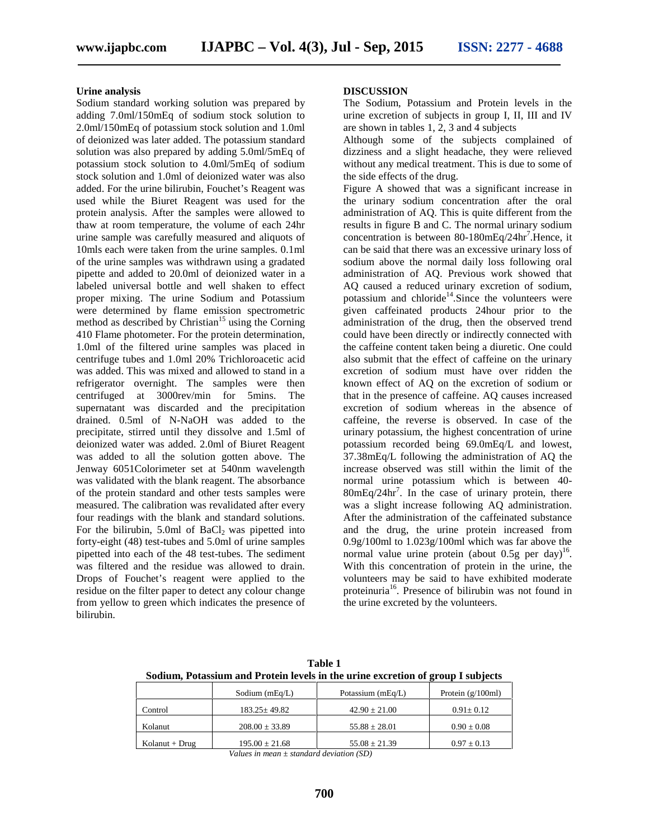#### **Urine analysis**

Sodium standard working solution was prepared by adding 7.0ml/150mEq of sodium stock solution to 2.0ml/150mEq of potassium stock solution and 1.0ml of deionized was later added. The potassium standard solution was also prepared by adding 5.0ml/5mEq of potassium stock solution to 4.0ml/5mEq of sodium stock solution and 1.0ml of deionized water was also added. For the urine bilirubin, Fouchet's Reagent was used while the Biuret Reagent was used for the protein analysis. After the samples were allowed to thaw at room temperature, the volume of each 24hr urine sample was carefully measured and aliquots of 10mls each were taken from the urine samples. 0.1ml of the urine samples was withdrawn using a gradated pipette and added to 20.0ml of deionized water in a labeled universal bottle and well shaken to effect proper mixing. The urine Sodium and Potassium were determined by flame emission spectrometric method as described by Christian<sup>15</sup> using the Corning 410 Flame photometer. For the protein determination, 1.0ml of the filtered urine samples was placed in centrifuge tubes and 1.0ml 20% Trichloroacetic acid was added. This was mixed and allowed to stand in a refrigerator overnight. The samples were then centrifuged at 3000rev/min for 5mins. The supernatant was discarded and the precipitation drained. 0.5ml of N-NaOH was added to the precipitate, stirred until they dissolve and 1.5ml of deionized water was added. 2.0ml of Biuret Reagent was added to all the solution gotten above. The Jenway 6051Colorimeter set at 540nm wavelength was validated with the blank reagent. The absorbance of the protein standard and other tests samples were measured. The calibration was revalidated after every four readings with the blank and standard solutions. For the bilirubin, 5.0ml of  $BaCl<sub>2</sub>$  was pipetted into forty-eight (48) test-tubes and 5.0ml of urine samples pipetted into each of the 48 test-tubes. The sediment was filtered and the residue was allowed to drain. Drops of Fouchet's reagent were applied to the residue on the filter paper to detect any colour change from yellow to green which indicates the presence of bilirubin.

### **DISCUSSION**

The Sodium, Potassium and Protein levels in the urine excretion of subjects in group I, II, III and IV are shown in tables 1, 2, 3 and 4 subjects

Although some of the subjects complained of dizziness and a slight headache, they were relieved without any medical treatment. This is due to some of the side effects of the drug.

Figure A showed that was a significant increase in the urinary sodium concentration after the oral administration of AQ. This is quite different from the results in figure B and C. The normal urinary sodium concentration is between 80-180mEq/24hr<sup>7</sup>. Hence, it can be said that there was an excessive urinary loss of sodium above the normal daily loss following oral administration of AQ. Previous work showed that AQ caused a reduced urinary excretion of sodium, potassium and chloride<sup>14</sup>. Since the volunteers were given caffeinated products 24hour prior to the administration of the drug, then the observed trend could have been directly or indirectly connected with the caffeine content taken being a diuretic. One could also submit that the effect of caffeine on the urinary excretion of sodium must have over ridden the known effect of AQ on the excretion of sodium or that in the presence of caffeine. AQ causes increased excretion of sodium whereas in the absence of caffeine, the reverse is observed. In case of the urinary potassium, the highest concentration of urine potassium recorded being 69.0mEq/L and lowest, 37.38mEq/L following the administration of AQ the increase observed was still within the limit of the normal urine potassium which is between 40-  $80mEq/24hr<sup>7</sup>$ . In the case of urinary protein, there was a slight increase following AQ administration. After the administration of the caffeinated substance and the drug, the urine protein increased from 0.9g/100ml to 1.023g/100ml which was far above the normal value urine protein (about 0.5g per day)<sup>16</sup>. With this concentration of protein in the urine, the volunteers may be said to have exhibited moderate proteinuria<sup>16</sup>. Presence of bilirubin was not found in the urine excreted by the volunteers.

**Table 1 Sodium, Potassium and Protein levels in the urine excretion of group I subjects**

|                | Sodium $(mEq/L)$   | Potassium $(mEq/L)$ | Protein $(g/100ml)$ |
|----------------|--------------------|---------------------|---------------------|
| Control        | $183.25 \pm 49.82$ | $42.90 \pm 21.00$   | $0.91 \pm 0.12$     |
| Kolanut        | $208.00 \pm 33.89$ | $55.88 \pm 28.01$   | $0.90 \pm 0.08$     |
| Kolanut + Drug | $195.00 \pm 21.68$ | $55.08 \pm 21.39$   | $0.97 \pm 0.13$     |

*Values in mean ± standard deviation (SD)*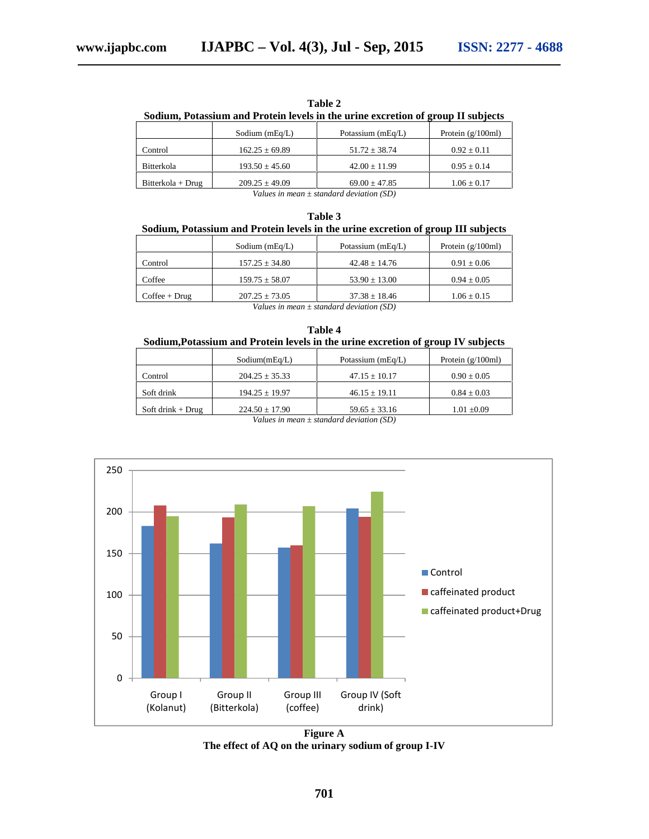| Sodium, Potassium and Protein levels in the urine excretion of group II subjects |                    |                   |                     |
|----------------------------------------------------------------------------------|--------------------|-------------------|---------------------|
|                                                                                  | Sodium $(mEq/L)$   | Potassium (mEq/L) | Protein $(g/100ml)$ |
| Control                                                                          | $162.25 \pm 69.89$ | $51.72 \pm 38.74$ | $0.92 \pm 0.11$     |
| Bitterkola                                                                       | $193.50 \pm 45.60$ | $42.00 \pm 11.99$ | $0.95 \pm 0.14$     |
| $Bitterkola + Drug$                                                              | $209.25 \pm 49.09$ | $69.00 \pm 47.85$ | $1.06 \pm 0.17$     |

**Table 2**

*Values in mean ± standard deviation (SD)*

| Table 3                                                                           |  |  |  |  |
|-----------------------------------------------------------------------------------|--|--|--|--|
| Sodium, Potassium and Protein levels in the urine excretion of group III subjects |  |  |  |  |
|                                                                                   |  |  |  |  |

|                 | Sodium $(mEq/L)$   | Potassium (mEq/L) | Protein $(g/100ml)$ |
|-----------------|--------------------|-------------------|---------------------|
| Control         | $157.25 \pm 34.80$ | $42.48 + 14.76$   | $0.91 \pm 0.06$     |
| Coffee          | $159.75 \pm 58.07$ | $53.90 \pm 13.00$ | $0.94 \pm 0.05$     |
| $Coffee + Drug$ | $207.25 \pm 73.05$ | $37.38 \pm 18.46$ | $1.06 \pm 0.15$     |

*Values in mean ± standard deviation (SD)*

| Table 4                                                                          |
|----------------------------------------------------------------------------------|
| Sodium, Potassium and Protein levels in the urine excretion of group IV subjects |

|                                                                           | Sodium(mEq/L)      | Potassium (mEq/L) | Protein $(g/100ml)$ |
|---------------------------------------------------------------------------|--------------------|-------------------|---------------------|
| Control                                                                   | $204.25 \pm 35.33$ | $47.15 \pm 10.17$ | $0.90 \pm 0.05$     |
| Soft drink                                                                | $194.25 \pm 19.97$ | $46.15 \pm 19.11$ | $0.84 \pm 0.03$     |
| Soft drink $+$ Drug                                                       | $224.50 \pm 17.90$ | $59.65 \pm 33.16$ | $1.01 \pm 0.09$     |
| $U_2$ and $\mu$ and $\mu$ and $\mu$ and $\mu$ and $\mu$ and $\sigma$ (CD) |                    |                   |                     |

*Values in mean ± standard deviation (SD)*



**Figure A The effect of AQ on the urinary sodium of group I-IV**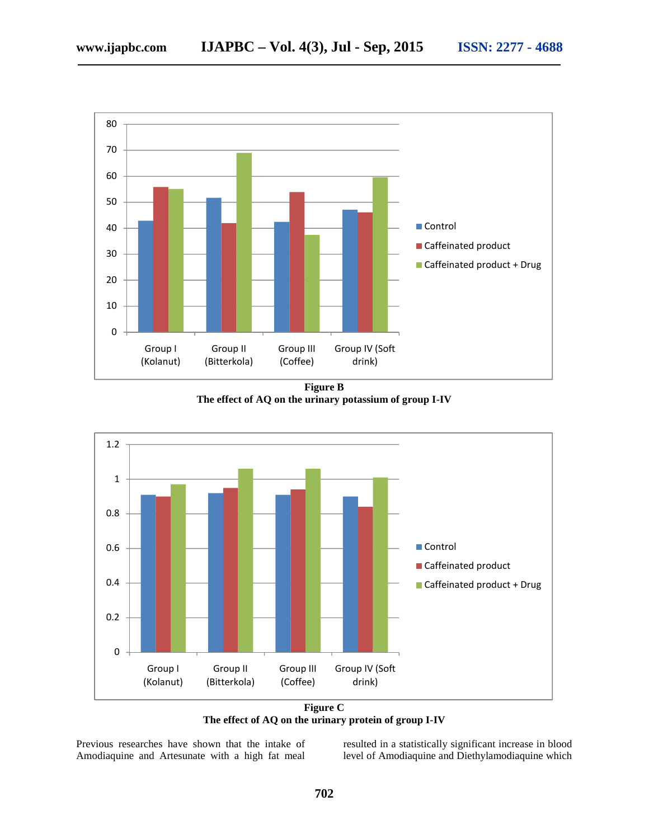

**Figure B The effect of AQ on the urinary potassium of group I-IV**



**Figure C The effect of AQ on the urinary protein of group I-IV**

Previous researches have shown that the intake of Amodiaquine and Artesunate with a high fat meal resulted in a statistically significant increase in blood level of Amodiaquine and Diethylamodiaquine which